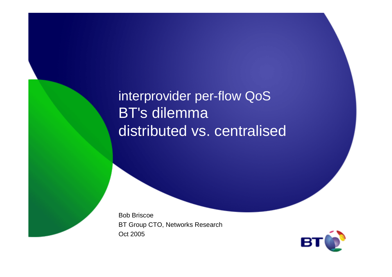interprovider per-flow QoSBT's dilemma distributed vs. centralised

Bob Briscoe BT Group CTO, Networks ResearchOct 2005

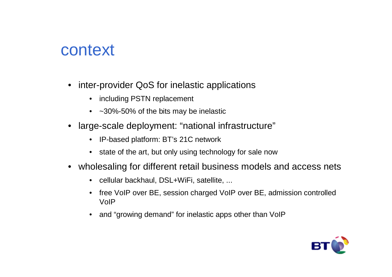### context

- inter-provider QoS for inelastic applications
	- including PSTN replacement
	- ~30%-50% of the bits may be inelastic
- large-scale deployment: "national infrastructure"
	- IP-based platform: BT's 21C network
	- state of the art, but only using technology for sale now
- wholesaling for different retail business models and access nets
	- cellular backhaul, DSL+WiFi, satellite, ...
	- free VoIP over BE, session charged VoIP over BE, admission controlled VoIP
	- and "growing demand" for inelastic apps other than VoIP

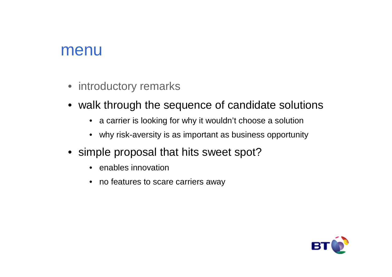#### menu

- introductory remarks
- walk through the sequence of candidate solutions
	- a carrier is looking for why it wouldn't choose a solution
	- why risk-aversity is as important as business opportunity
- simple proposal that hits sweet spot?
	- enables innovation
	- no features to scare carriers away

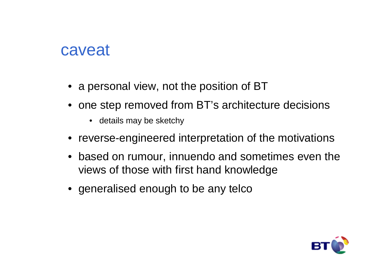### caveat

- $\bullet\,$  a personal view, not the position of BT
- one step removed from BT's architecture decisions
	- details may be sketchy
- reverse-engineered interpretation of the motivations
- based on rumour, innuendo and sometimes even the views of those with first hand knowledge
- generalised enough to be any telco

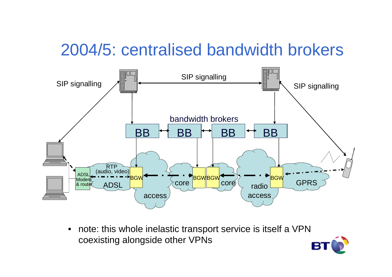## 2004/5: centralised bandwidth brokers



 $\bullet$  note: this whole inelastic transport service is itself a VPNcoexisting alongside other VPNs

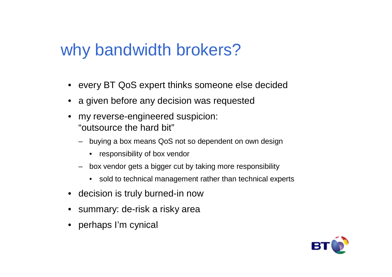## why bandwidth brokers?

- every BT QoS expert thinks someone else decided
- a given before any decision was requested
- my reverse-engineered suspicion: "outsource the hard bit"
	- buying a box means QoS not so dependent on own design
		- responsibility of box vendor
	- box vendor gets a bigger cut by taking more responsibility
		- sold to technical management rather than technical experts
- decision is truly burned-in now
- summary: de-risk a risky area
- perhaps I'm cynical

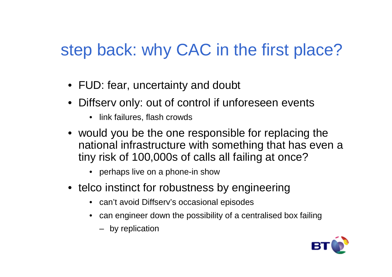## step back: why CAC in the first place?

- FUD: fear, uncertainty and doubt
- Diffserv only: out of control if unforeseen events
	- link failures, flash crowds
- would you be the one responsible for replacing the national infrastructure with something that has even a tiny risk of 100,000s of calls all failing at once?
	- perhaps live on a phone-in show
- telco instinct for robustness by engineering
	- can't avoid Diffserv's occasional episodes
	- can engineer down the possibility of a centralised box failing
		- by replication

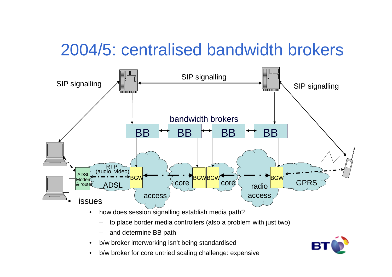## 2004/5: centralised bandwidth brokers



- $\bullet$  how does session signalling establish media path?
	- –to place border media controllers (also a problem with just two)
	- –and determine BB path

 $\bullet$ 

- • b/w broker interworking isn't being standardised
	- b/w broker for core untried scaling challenge: expensive

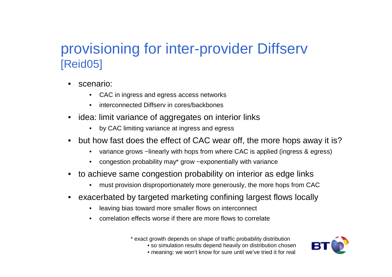#### provisioning for inter-provider Diffserv[Reid05]

- • scenario:
	- CAC in ingress and egress access networks
	- •interconnected Diffserv in cores/backbones
- idea: limit variance of aggregates on interior links
	- •by CAC limiting variance at ingress and egress
- but how fast does the effect of CAC wear off, the more hops away it is?
	- variance grows ~linearly with hops from where CAC is applied (ingress & egress)
	- •congestion probability may\* grow ~exponentially with variance
- to achieve same congestion probability on interior as edge links
	- $\bullet$ must provision disproportionately more generously, the more hops from CAC
- • exacerbated by targeted marketing confining largest flows locally
	- •leaving bias toward more smaller flows on interconnect
	- $\bullet$ correlation effects worse if there are more flows to correlate

\* exact growth depends on shape of traffic probability distribution

• so simulation results depend heavily on distribution chosen



• meaning: we won't know for sure until we've tried it for real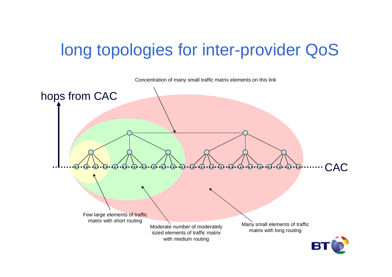# long topologies for inter-provider QoS

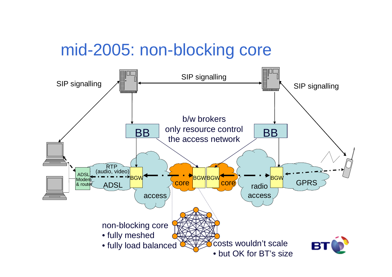## mid-2005: non-blocking core

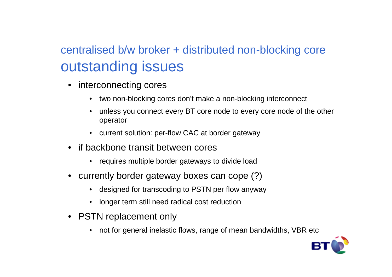### centralised b/w broker + distributed non-blocking coreoutstanding issues

- • interconnecting cores
	- •two non-blocking cores don't make a non-blocking interconnect
	- • unless you connect every BT core node to every core node of the other operator
	- current solution: per-flow CAC at border gateway
- if backbone transit between cores
	- requires multiple border gateways to divide load
- currently border gateway boxes can cope (?)
	- designed for transcoding to PSTN per flow anyway
	- longer term still need radical cost reduction
- PSTN replacement only
	- not for general inelastic flows, range of mean bandwidths, VBR etc

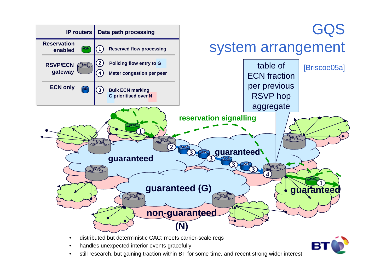

- •distributed but deterministic CAC: meets carrier-scale reqs
- •handles unexpected interior events gracefully
- still research, but gaining traction within BT for some time, and recent strong wider interest •

В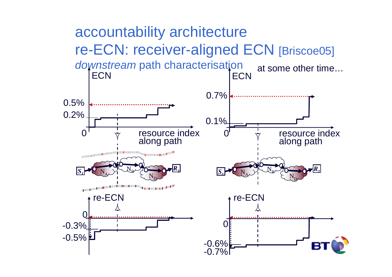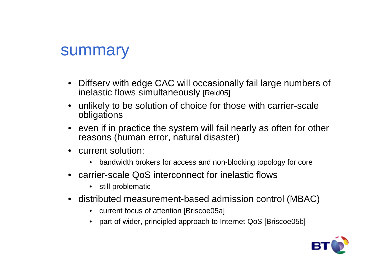#### summary

- Diffserv with edge CAC will occasionally fail large numbers of inelastic flows simultaneously [Reid05]
- unlikely to be solution of choice for those with carrier-scale obligations
- even if in practice the system will fail nearly as often for other reasons (human error, natural disaster)
- current solution:
	- bandwidth brokers for access and non-blocking topology for core
- carrier-scale QoS interconnect for inelastic flows
	- still problematic
- distributed measurement-based admission control (MBAC)
	- current focus of attention [Briscoe05a]
	- part of wider, principled approach to Internet QoS [Briscoe05b]

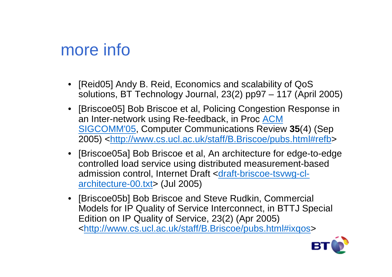## more info

- [Reid05] Andy B. Reid, Economics and scalability of QoSsolutions, BT Technology Journal, 23(2) pp97 – 117 (April 2005)
- [Briscoe05] Bob Briscoe et al, Policing Congestion Response in an Inter-network using Re-feedback, in Proc ACM SIGCOMM'05, Computer Communications Review **35**(4) (Sep 2005) <<u>http://www.cs.ucl.ac.uk/staff/B.Briscoe/pubs.html#refb</u>>
- [Briscoe05a] Bob Briscoe et al, An architecture for edge-to-edge controlled load service using distributed measurement-based admission control, Internet Draft <draft-briscoe-tsvwg-clarchitecture-00.txt> (Jul 2005)
- [Briscoe05b] Bob Briscoe and Steve Rudkin, Commercial Models for IP Quality of Service Interconnect, in BTTJ Special Edition on IP Quality of Service, 23(2) (Apr 2005) <http://www.cs.ucl.ac.uk/staff/B.Briscoe/pubs.html#ixqos>

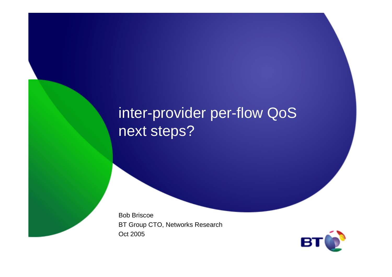## inter-provider per-flow QoSnext steps?

Bob Briscoe BT Group CTO, Networks ResearchOct 2005

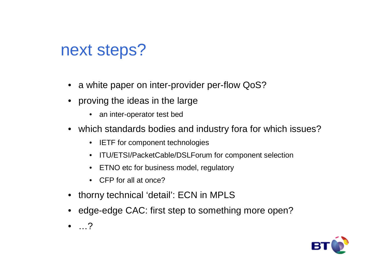## next steps?

- a white paper on inter-provider per-flow QoS?
- proving the ideas in the large
	- an inter-operator test bed
- which standards bodies and industry fora for which issues?
	- IETF for component technologies
	- ITU/ETSI/PacketCable/DSLForum for component selection
	- ETNO etc for business model, regulatory
	- CFP for all at once?
- thorny technical 'detail': ECN in MPLS
- edge-edge CAC: first step to something more open?
- …?